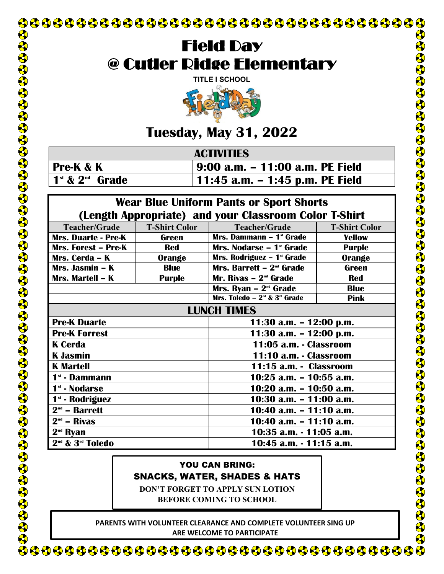

# Field Day @ Cutler Ridge Elementary

**[TITLE I SCHOOL](http://www.google.com/url?sa=i&rct=j&q=&esrc=s&frm=1&source=images&cd=&cad=rja&uact=8&ved=0ahUKEwjdyeC1lOzLAhVDTCYKHUXtAD4QjRwIBw&url=http://worldartsme.com/field-day-2014-clipart.html&psig=AFQjCNG1nz-EwwcMTi72IDrmAKObwPpz2g&ust=1459556121797526)**



## **Tuesday, May 31, 2022**

| <b>ACTIVITIES</b>   |                                 |  |  |
|---------------------|---------------------------------|--|--|
| Pre-K & K           | 9:00 a.m. – 11:00 a.m. PE Field |  |  |
| $1st$ & $2nd$ Grade | 11:45 a.m. – 1:45 p.m. PE Field |  |  |

#### **Wear Blue Uniform Pants or Sport Shorts (Length Appropriate) and your Classroom Color T-Shirt**

| $\sum$                                   |                      |                                         |                      |  |  |
|------------------------------------------|----------------------|-----------------------------------------|----------------------|--|--|
| Teacher/Grade                            | <b>T-Shirt Color</b> | <b>Teacher/Grade</b>                    | <b>T-Shirt Color</b> |  |  |
| <b>Mrs. Duarte - Pre-K</b>               | <b>Green</b>         | Mrs. Dammann - 1 <sup>st</sup> Grade    | <b>Yellow</b>        |  |  |
| Mrs. Forest - Pre-K                      | <b>Red</b>           | Mrs. Nodarse - 1 <sup>st</sup> Grade    | <b>Purple</b>        |  |  |
| Mrs. Cerda - K                           | <b>Orange</b>        | Mrs. Rodriguez - 1 <sup>st</sup> Grade  | Orange               |  |  |
| Mrs. Jasmin – K                          | <b>Blue</b>          | Mrs. Barrett $-2nd$ Grade               | Green                |  |  |
| Mrs. Martell - K                         | <b>Purple</b>        | Mr. Rivas $-2^{nd}$ Grade               | <b>Red</b>           |  |  |
|                                          |                      | Mrs. Ryan $-2nd$ Grade                  | <b>Blue</b>          |  |  |
|                                          |                      | Mrs. Toledo - $2^{nd}$ & $3^{rd}$ Grade | <b>Pink</b>          |  |  |
| <b>LUNCH TIMES</b>                       |                      |                                         |                      |  |  |
| <b>Pre-K Duarte</b>                      |                      | 11:30 a.m. $-$ 12:00 p.m.               |                      |  |  |
| <b>Pre-K Forrest</b>                     |                      | 11:30 a.m. $-$ 12:00 p.m.               |                      |  |  |
| <b>K</b> Cerda                           |                      | 11:05 a.m. - Classroom                  |                      |  |  |
| <b>K</b> Jasmin                          |                      | 11:10 a.m. - Classroom                  |                      |  |  |
| <b>K</b> Martell                         |                      | 11:15 a.m. - Classroom                  |                      |  |  |
| 1 <sup>st</sup> - Dammann                |                      | 10:25 a.m. - 10:55 a.m.                 |                      |  |  |
| 1 <sup>st</sup> - Nodarse                |                      | 10:20 a.m. - 10:50 a.m.                 |                      |  |  |
| 1 <sup>st</sup> - Rodriguez              |                      | 10:30 a.m. - 11:00 a.m.                 |                      |  |  |
| $2nd$ – Barrett                          |                      | 10:40 a.m. - 11:10 a.m.                 |                      |  |  |
| $2nd$ – Rivas                            |                      | 10:40 a.m. $-$ 11:10 a.m.               |                      |  |  |
| $2nd$ Ryan                               |                      | 10:35 a.m. - 11:05 a.m.                 |                      |  |  |
| 2 <sup>nd</sup> & 3 <sup>rd</sup> Toledo |                      | 10:45 a.m. - 11:15 a.m.                 |                      |  |  |

#### YOU CAN BRING: SNACKS, WATER, SHADES & HATS

**DON'T FORGET TO APPLY SUN LOTION BEFORE COMING TO SCHOOL**

 **PARENTS WITH VOLUNTEER CLEARANCE AND COMPLETE VOLUNTEER SING UP ARE WELCOME TO PARTICIPATE**